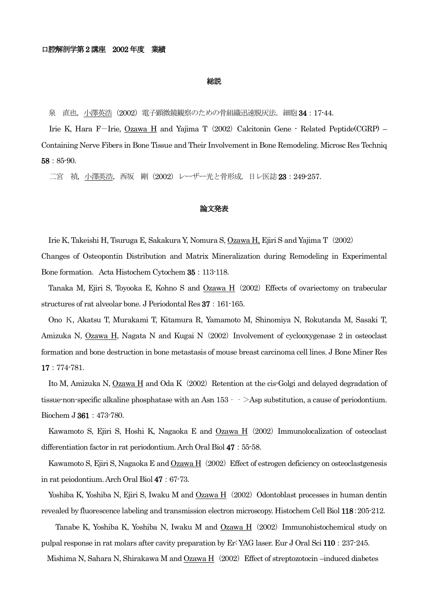#### 総説

泉 直也,小澤英浩 (2002) 電子顕微鏡観察のための骨組織迅速脱灰法. 細胞 34:17-44.

Irie K, Hara F-Irie,  $Ozawa$  H and Yajima T (2002) Calcitonin Gene - Related Peptide(CGRP) – Containing Nerve Fibers in Bone Tissue and Their Involvement in Bone Remodeling. Microsc Res Techniq 58:85-90.

二宮 禎, 小澤英浩, 西坂 剛 (2002) レーザー光と骨形成. 日レ医誌 23:249-257.

# 論文発表

Irie K, Takeishi H, Tsuruga E, Sakakura Y, Nomura S, Ozawa H, Ejiri S and Yajima T(2002) Changes of Osteopontin Distribution and Matrix Mineralization during Remodeling in Experimental Bone formation. Acta Histochem Cytochem 35: 113-118.

Tanaka M, Ejiri S, Toyooka E, Kohno S and  $Ozawa H$  (2002) Effects of ovariectomy on trabecular structures of rat alveolar bone. J Periodontal Res 37:161-165.

Ono K, Akatsu T, Murakami T, Kitamura R, Yamamoto M, Shinomiya N, Rokutanda M, Sasaki T, Amizuka N, Ozawa H, Nagata N and Kugai N (2002) Involvement of cyclooxygenase 2 in osteoclast formation and bone destruction in bone metastasis of mouse breast carcinoma cell lines. J Bone Miner Res 17:774-781.

Ito M, Amizuka N,  $Ozawa H$  and Oda K $(2002)$  Retention at the cis-Golgi and delayed degradation of tissue-non-specific alkaline phosphatase with an Asn 153‐‐>Asp substitution, a cause of periodontium. Biochem J 361:473-780.

Kawamoto S, Ejiri S, Hoshi K, Nagaoka E and Ozawa H (2002) Immunolocalization of osteoclast differentiation factor in rat periodontium. Arch Oral Biol 47: 55-58.

Kawamoto S, Ejiri S, Nagaoka E and  $Ozawa H$  (2002) Effect of estrogen deficiency on osteoclastgenesis in rat peiodontium. Arch Oral Biol 47:67-73.

Yoshiba K, Yoshiba N, Ejiri S, Iwaku M and Ozawa H (2002) Odontoblast processes in human dentin revealed by fluorescence labeling and transmission electron microscopy. Histochem Cell Biol 118:205-212.

Tanabe K, Yoshiba K, Yoshiba N, Iwaku M and  $Ozawa H$  (2002) Immunohistochemical study on pulpal response in rat molars after cavity preparation by Er: YAG laser. Eur J Oral Sci 110:237-245.

Mishima N, Sahara N, Shirakawa M and Ozawa H (2002) Effect of streptozotocin –induced diabetes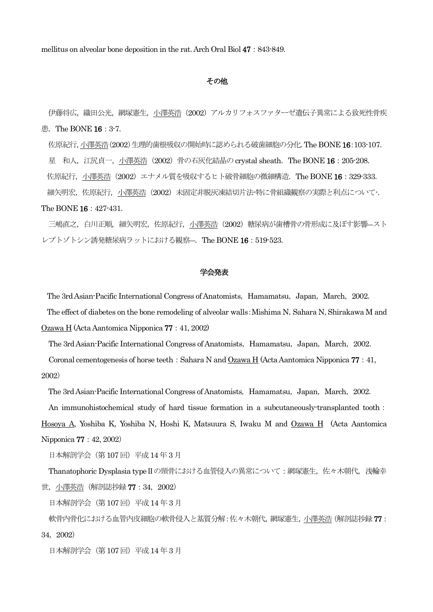mellitus on alveolar bone deposition in the rat. Arch Oral Biol 47:843-849.

### その他

伊藤将広,織田公光,網塚憲生,小澤英浩(2002)アルカリフォスファターゼ遺伝子異常による致死性骨疾 患. The BONE 16: 3-7.

佐原紀行,小澤英浩(2002)生理的歯根吸収の開始時に認められる破歯細胞の分化.The BONE 16:103-107. 星 和人, 江尻貞一, 小澤英浩 (2002) 骨の石灰化結晶の crystal sheath. The BONE 16 : 205-208. 佐原紀行, 小澤英浩 (2002) エナメル質を吸収するヒト破骨細胞の微細構造. The BONE 16:329-333. 細矢明宏,佐原紀行,小澤英浩(2002)未固定非脱灰凍結切片法-特に骨組織観察の実際と利点について-. The BONE 16:427-431.

三嶋直之, 白川正順, 細矢明宏, 佐原紀行, 小澤英浩 (2002) 糖尿病が歯槽骨の骨形成に及ぼす影響―スト レプトゾトシン誘発糖尿病ラットにおける観察―.The BONE 16:519-523.

## 学会発表

The 3rd Asian-Pacific International Congress of Anatomists, Hamamatsu, Japan, March, 2002.

The effect of diabetes on the bone remodeling of alveolar walls: Mishima N, Sahara N, Shirakawa M and Ozawa H (Acta Aantomica Nipponica 77:41, 2002)

The 3rd Asian-Pacific International Congress of Anatomists, Hamamatsu, Japan, March, 2002.

Coronal cementogenesis of horse teeth: Sahara N and Ozawa H (Acta Aantomica Nipponica 77:41, 2002)

The 3rd Asian-Pacific International Congress of Anatomists, Hamamatsu, Japan, March, 2002.

An immunohistochemical study of hard tissue formation in a subcutaneously-transplanted tooth:

Hosoya A, Yoshiba K, Yoshiba N, Hoshi K, Matsuura S, Iwaku M and Ozawa H (Acta Aantomica Nipponica 77:42, 2002)

日本解剖学会(第107 回)平成14 年3 月

Thanatophoric Dysplasia type II の頸骨における血管侵入の異常について:網塚憲生, 佐々木朝代, 浅輪幸 世, 小澤英浩(解剖誌抄録77:34, 2002)

日本解剖学会(第107 回)平成14 年3 月

軟骨内骨化における血管内皮細胞の軟骨侵入と基質分解:佐々木朝代,網塚憲生,小澤英浩 (解剖誌抄録 77 : 34,2002)

日本解剖学会(第107 回)平成14 年3 月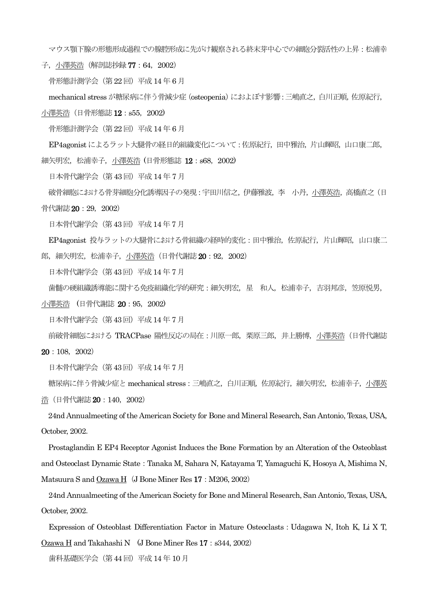マウス顎下腺の形態形成過程での腺腔形成に先がけ観察される終末芽中心での細胞分裂活性の上昇:松浦幸

子, 小澤英浩(解剖誌抄録 77 : 64, 2002)

骨形態計測学会(第22 回)平成14 年 6 月

mechanical stress が糖尿病に伴う骨減少症(osteopenia)におよぼす影響:三嶋直之,白川正順,佐原紀行,

小澤英浩(日骨形態誌 12:s55, 2002)

骨形熊計測学会(第22回)平成14年6月

EP4agonist によるラット大腿骨の経日的組織変化について:佐原紀行,田中雅治,片山輝昭,山口康二郎, 細矢明宏,松浦幸子,小澤英浩 (日骨形態誌 **12**:s68,2002)

日本骨代謝学会(第43 回)平成14 年 7 月

破骨細胞における骨芽細胞分化誘導因子の発現:宇田川信之,伊藤雅波,李 小丹,小澤英浩,高橋直之(日

骨代謝誌 20:29, 2002)

日本骨代謝学会(第43 回)平成14 年7 月

EP4agonist 投与ラットの大腿骨における骨組織の経時的変化:田中雅治,佐原紀行,片山輝昭,山口康二 郎, 細矢明宏, 松浦幸子, 小澤英浩 (日骨代謝誌 20 : 92, 2002)

日本骨代謝学会(第43 回)平成14 年 7 月

歯髄の硬組織誘導能に関する免疫組織化学的研究:細矢明宏,星 和人,松浦幸子,吉羽邦彦,笠原悦男,

小澤英浩 (日骨代謝誌 20:95,2002)

日本骨代謝学会(第43 回)平成14 年 7 月

前破骨細胞における TRACPase 陽性反応の局在:川原一郎,栗原三郎,井上勝博,小澤英浩(日骨代謝誌

20:108,2002)

日本骨代謝学会(第43 回)平成14 年 7 月

糖尿病に伴う骨減少症とmechanical stress:三嶋直之,白川正順,佐原紀行,細矢明宏,松浦幸子,小澤英 浩(日骨代謝誌 20:140,2002)

24nd Annualmeeting of the American Society for Bone and Mineral Research, San Antonio, Texas, USA, October, 2002.

Prostaglandin E EP4 Receptor Agonist Induces the Bone Formation by an Alteration of the Osteoblast and Osteoclast Dynamic State:Tanaka M, Sahara N, Katayama T, Yamaguchi K, Hosoya A, Mishima N, Matsuura S and Ozawa H $(J$  Bone Miner Res 17: M206, 2002)

24nd Annualmeeting of the American Society for Bone and Mineral Research, San Antonio, Texas, USA, October, 2002.

Expression of Osteoblast Differentiation Factor in Mature Osteoclasts:Udagawa N, Itoh K, Li X T, Ozawa H and Takahashi N (J Bone Miner Res 17:s344, 2002)

歯科基礎医学会(第44 回)平成14 年 10 月